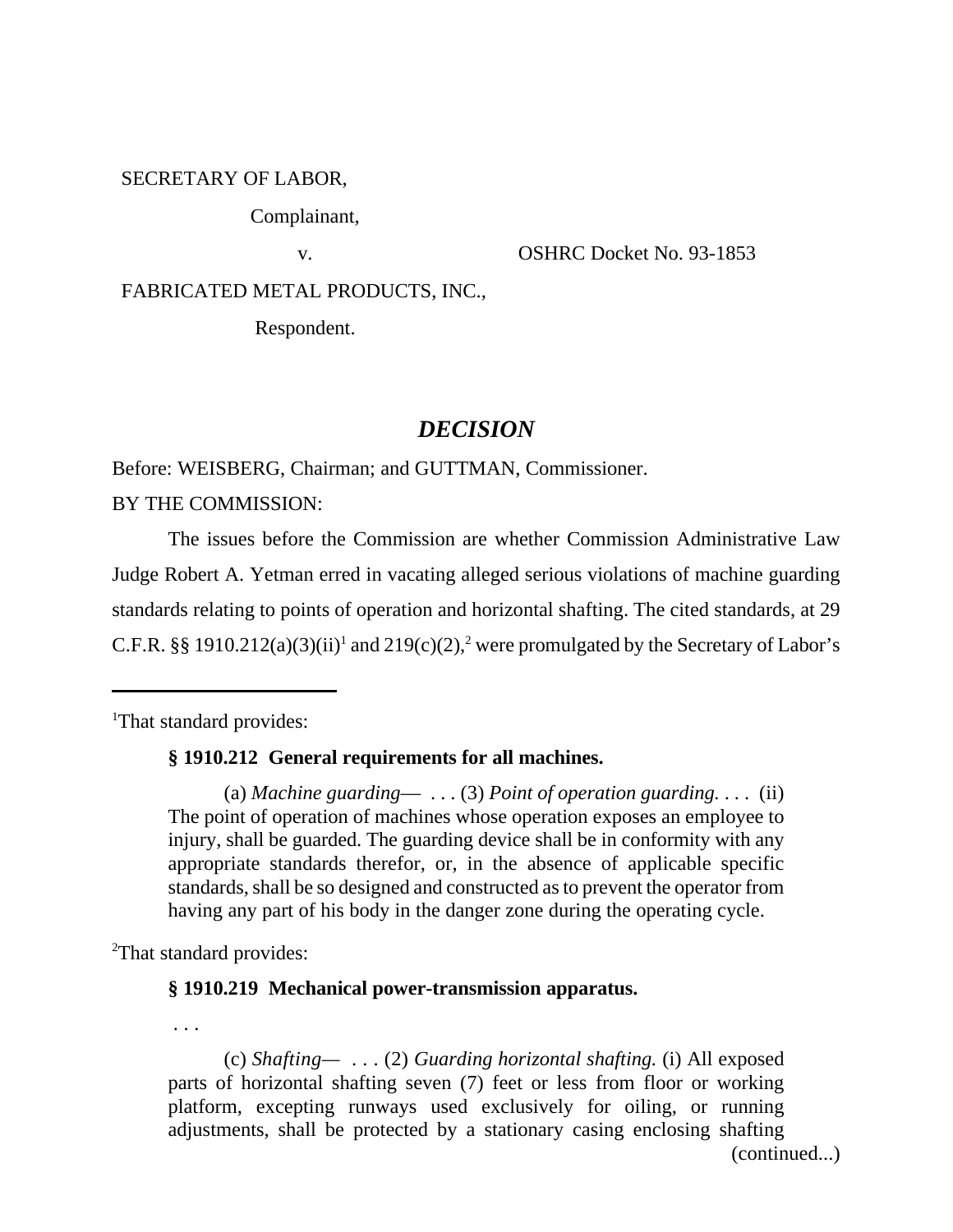#### SECRETARY OF LABOR,

Complainant,

v. OSHRC Docket No. 93-1853

FABRICATED METAL PRODUCTS, INC.,

Respondent.

# *DECISION*

Before: WEISBERG, Chairman; and GUTTMAN, Commissioner.

BY THE COMMISSION:

The issues before the Commission are whether Commission Administrative Law Judge Robert A. Yetman erred in vacating alleged serious violations of machine guarding standards relating to points of operation and horizontal shafting. The cited standards, at 29 C.F.R. §§ 1910.212(a)(3)(ii)<sup>1</sup> and 219(c)(2),<sup>2</sup> were promulgated by the Secretary of Labor's

<sup>1</sup>That standard provides:

## **§ 1910.212 General requirements for all machines.**

(a) *Machine guarding*— . . . (3) *Point of operation guarding.* . . . (ii) The point of operation of machines whose operation exposes an employee to injury, shall be guarded. The guarding device shall be in conformity with any appropriate standards therefor, or, in the absence of applicable specific standards, shall be so designed and constructed as to prevent the operator from having any part of his body in the danger zone during the operating cycle.

<sup>2</sup>That standard provides:

## **§ 1910.219 Mechanical power-transmission apparatus.**

. . .

(c) *Shafting—* . . . (2) *Guarding horizontal shafting.* (i) All exposed parts of horizontal shafting seven (7) feet or less from floor or working platform, excepting runways used exclusively for oiling, or running adjustments, shall be protected by a stationary casing enclosing shafting

(continued...)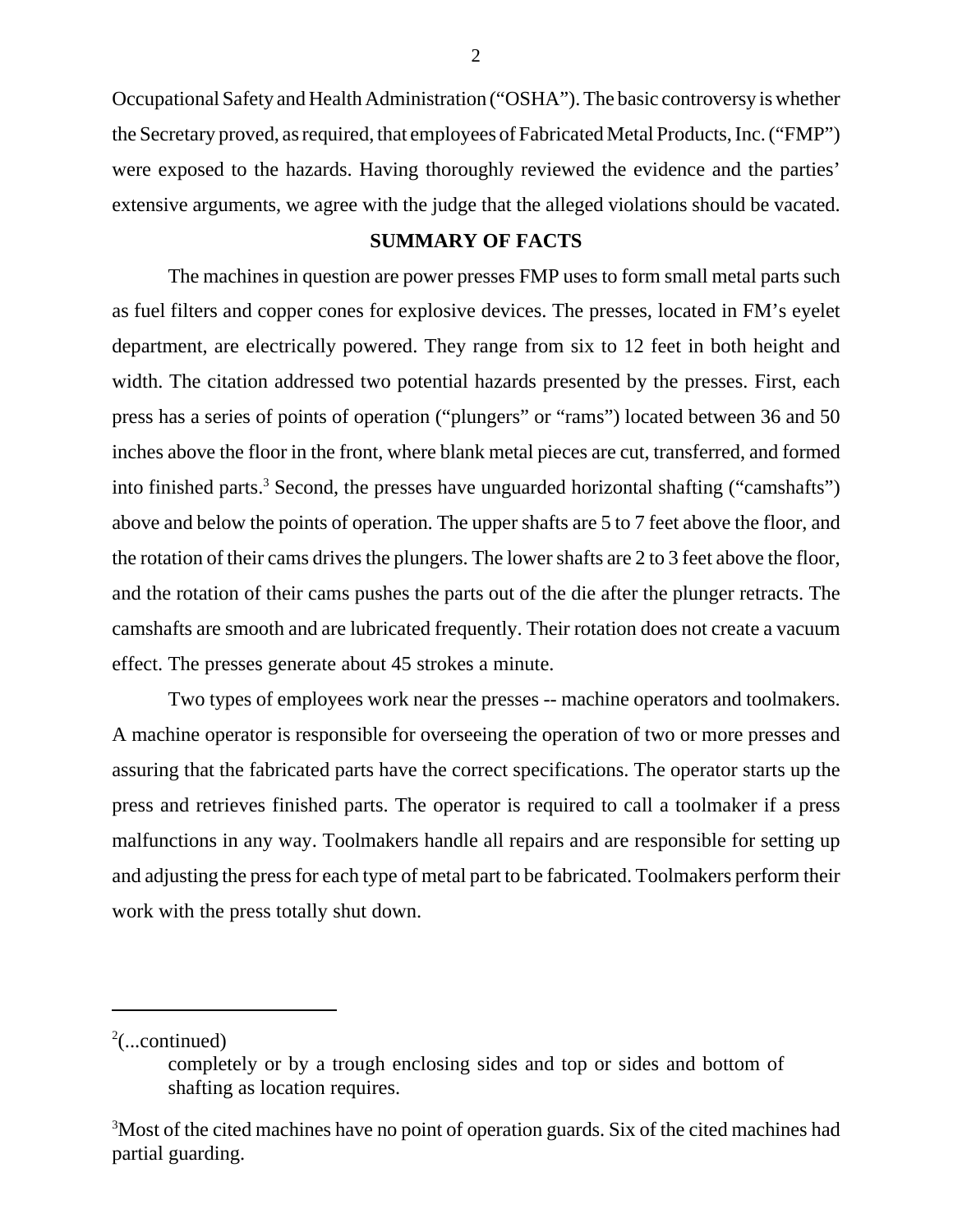Occupational Safety and Health Administration ("OSHA"). The basic controversy is whether the Secretary proved, as required, that employees of Fabricated Metal Products, Inc. ("FMP") were exposed to the hazards. Having thoroughly reviewed the evidence and the parties' extensive arguments, we agree with the judge that the alleged violations should be vacated.

## **SUMMARY OF FACTS**

The machines in question are power presses FMP uses to form small metal parts such as fuel filters and copper cones for explosive devices. The presses, located in FM's eyelet department, are electrically powered. They range from six to 12 feet in both height and width. The citation addressed two potential hazards presented by the presses. First, each press has a series of points of operation ("plungers" or "rams") located between 36 and 50 inches above the floor in the front, where blank metal pieces are cut, transferred, and formed into finished parts.<sup>3</sup> Second, the presses have unguarded horizontal shafting ("camshafts") above and below the points of operation. The upper shafts are 5 to 7 feet above the floor, and the rotation of their cams drives the plungers. The lower shafts are 2 to 3 feet above the floor, and the rotation of their cams pushes the parts out of the die after the plunger retracts. The camshafts are smooth and are lubricated frequently. Their rotation does not create a vacuum effect. The presses generate about 45 strokes a minute.

Two types of employees work near the presses -- machine operators and toolmakers. A machine operator is responsible for overseeing the operation of two or more presses and assuring that the fabricated parts have the correct specifications. The operator starts up the press and retrieves finished parts. The operator is required to call a toolmaker if a press malfunctions in any way. Toolmakers handle all repairs and are responsible for setting up and adjusting the press for each type of metal part to be fabricated. Toolmakers perform their work with the press totally shut down.

 $2$ (...continued)

completely or by a trough enclosing sides and top or sides and bottom of shafting as location requires.

<sup>&</sup>lt;sup>3</sup>Most of the cited machines have no point of operation guards. Six of the cited machines had partial guarding.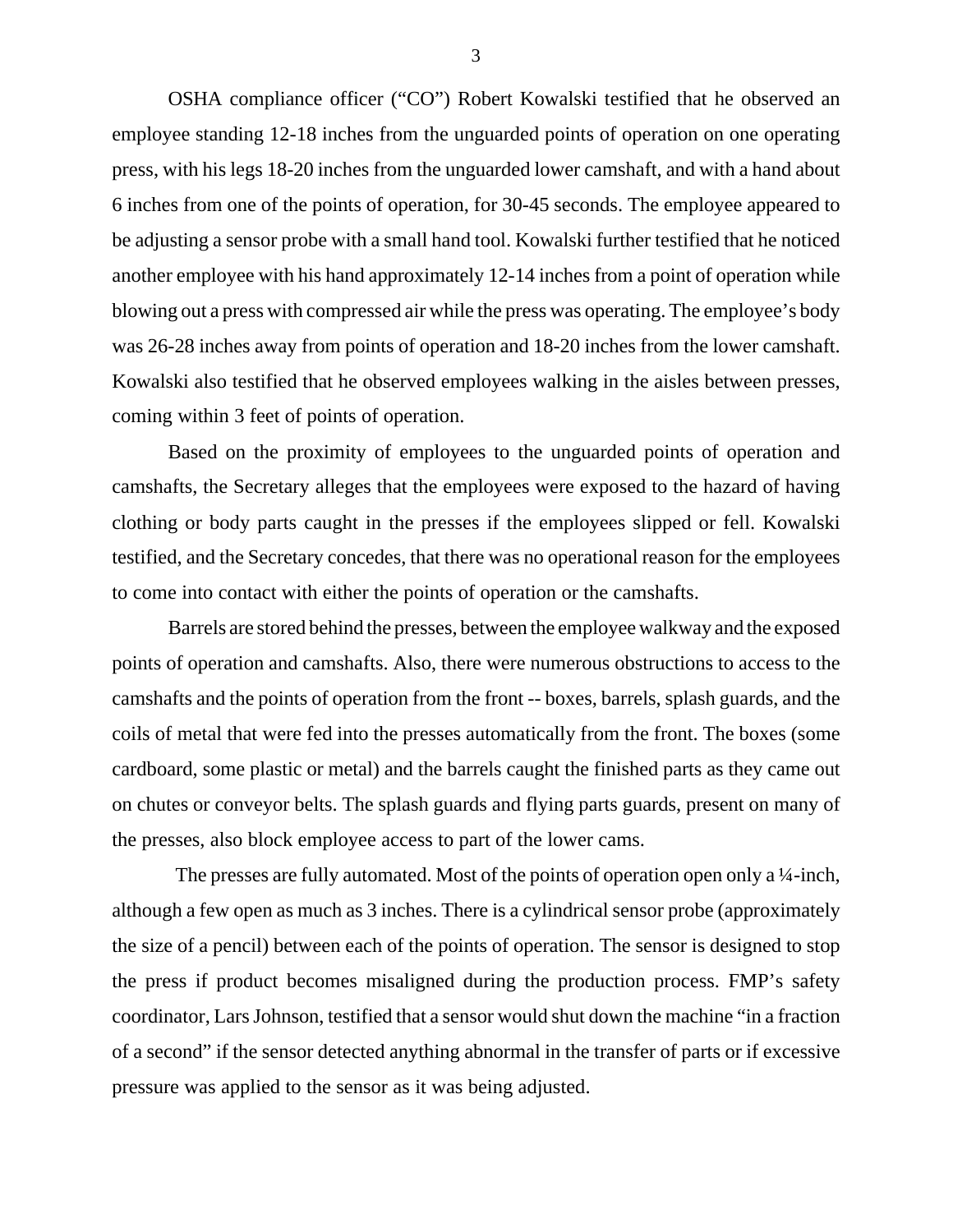OSHA compliance officer ("CO") Robert Kowalski testified that he observed an employee standing 12-18 inches from the unguarded points of operation on one operating press, with his legs 18-20 inches from the unguarded lower camshaft, and with a hand about 6 inches from one of the points of operation, for 30-45 seconds. The employee appeared to be adjusting a sensor probe with a small hand tool. Kowalski further testified that he noticed another employee with his hand approximately 12-14 inches from a point of operation while blowing out a press with compressed air while the press was operating. The employee's body was 26-28 inches away from points of operation and 18-20 inches from the lower camshaft. Kowalski also testified that he observed employees walking in the aisles between presses, coming within 3 feet of points of operation.

Based on the proximity of employees to the unguarded points of operation and camshafts, the Secretary alleges that the employees were exposed to the hazard of having clothing or body parts caught in the presses if the employees slipped or fell. Kowalski testified, and the Secretary concedes, that there was no operational reason for the employees to come into contact with either the points of operation or the camshafts.

Barrels are stored behind the presses, between the employee walkway and the exposed points of operation and camshafts. Also, there were numerous obstructions to access to the camshafts and the points of operation from the front -- boxes, barrels, splash guards, and the coils of metal that were fed into the presses automatically from the front. The boxes (some cardboard, some plastic or metal) and the barrels caught the finished parts as they came out on chutes or conveyor belts. The splash guards and flying parts guards, present on many of the presses, also block employee access to part of the lower cams.

The presses are fully automated. Most of the points of operation open only a ¼-inch, although a few open as much as 3 inches. There is a cylindrical sensor probe (approximately the size of a pencil) between each of the points of operation. The sensor is designed to stop the press if product becomes misaligned during the production process. FMP's safety coordinator, Lars Johnson, testified that a sensor would shut down the machine "in a fraction of a second" if the sensor detected anything abnormal in the transfer of parts or if excessive pressure was applied to the sensor as it was being adjusted.

3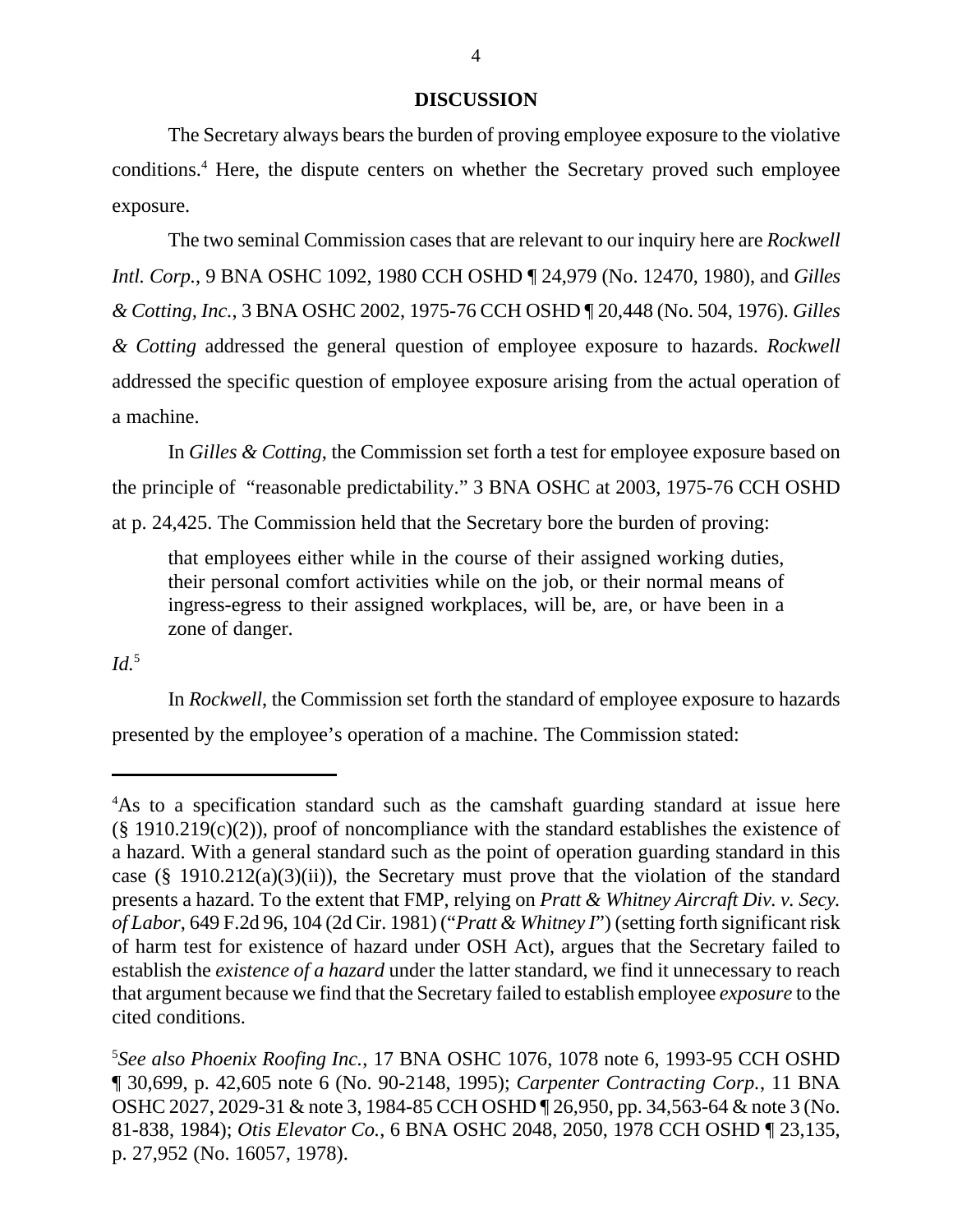#### **DISCUSSION**

The Secretary always bears the burden of proving employee exposure to the violative conditions.<sup>4</sup> Here, the dispute centers on whether the Secretary proved such employee exposure.

The two seminal Commission cases that are relevant to our inquiry here are *Rockwell Intl. Corp.*, 9 BNA OSHC 1092, 1980 CCH OSHD ¶ 24,979 (No. 12470, 1980), and *Gilles & Cotting, Inc.*, 3 BNA OSHC 2002, 1975-76 CCH OSHD ¶ 20,448 (No. 504, 1976). *Gilles & Cotting* addressed the general question of employee exposure to hazards. *Rockwell* addressed the specific question of employee exposure arising from the actual operation of a machine.

In *Gilles & Cotting*, the Commission set forth a test for employee exposure based on the principle of "reasonable predictability." 3 BNA OSHC at 2003, 1975-76 CCH OSHD at p. 24,425. The Commission held that the Secretary bore the burden of proving:

that employees either while in the course of their assigned working duties, their personal comfort activities while on the job, or their normal means of ingress-egress to their assigned workplaces, will be, are, or have been in a zone of danger.

*Id.*<sup>5</sup>

In *Rockwell*, the Commission set forth the standard of employee exposure to hazards presented by the employee's operation of a machine. The Commission stated:

<sup>&</sup>lt;sup>4</sup>As to a specification standard such as the camshaft guarding standard at issue here  $(\S 1910.219(c)(2))$ , proof of noncompliance with the standard establishes the existence of a hazard. With a general standard such as the point of operation guarding standard in this case (§ 1910.212(a)(3)(ii)), the Secretary must prove that the violation of the standard presents a hazard. To the extent that FMP, relying on *Pratt & Whitney Aircraft Div. v. Secy. of Labor*, 649 F.2d 96, 104 (2d Cir. 1981) ("*Pratt & Whitney I*") (setting forth significant risk of harm test for existence of hazard under OSH Act), argues that the Secretary failed to establish the *existence of a hazard* under the latter standard, we find it unnecessary to reach that argument because we find that the Secretary failed to establish employee *exposure* to the cited conditions.

<sup>5</sup> *See also Phoenix Roofing Inc.*, 17 BNA OSHC 1076, 1078 note 6, 1993-95 CCH OSHD ¶ 30,699, p. 42,605 note 6 (No. 90-2148, 1995); *Carpenter Contracting Corp.*, 11 BNA OSHC 2027, 2029-31 & note 3, 1984-85 CCH OSHD ¶ 26,950, pp. 34,563-64 & note 3 (No. 81-838, 1984); *Otis Elevator Co.*, 6 BNA OSHC 2048, 2050, 1978 CCH OSHD ¶ 23,135, p. 27,952 (No. 16057, 1978).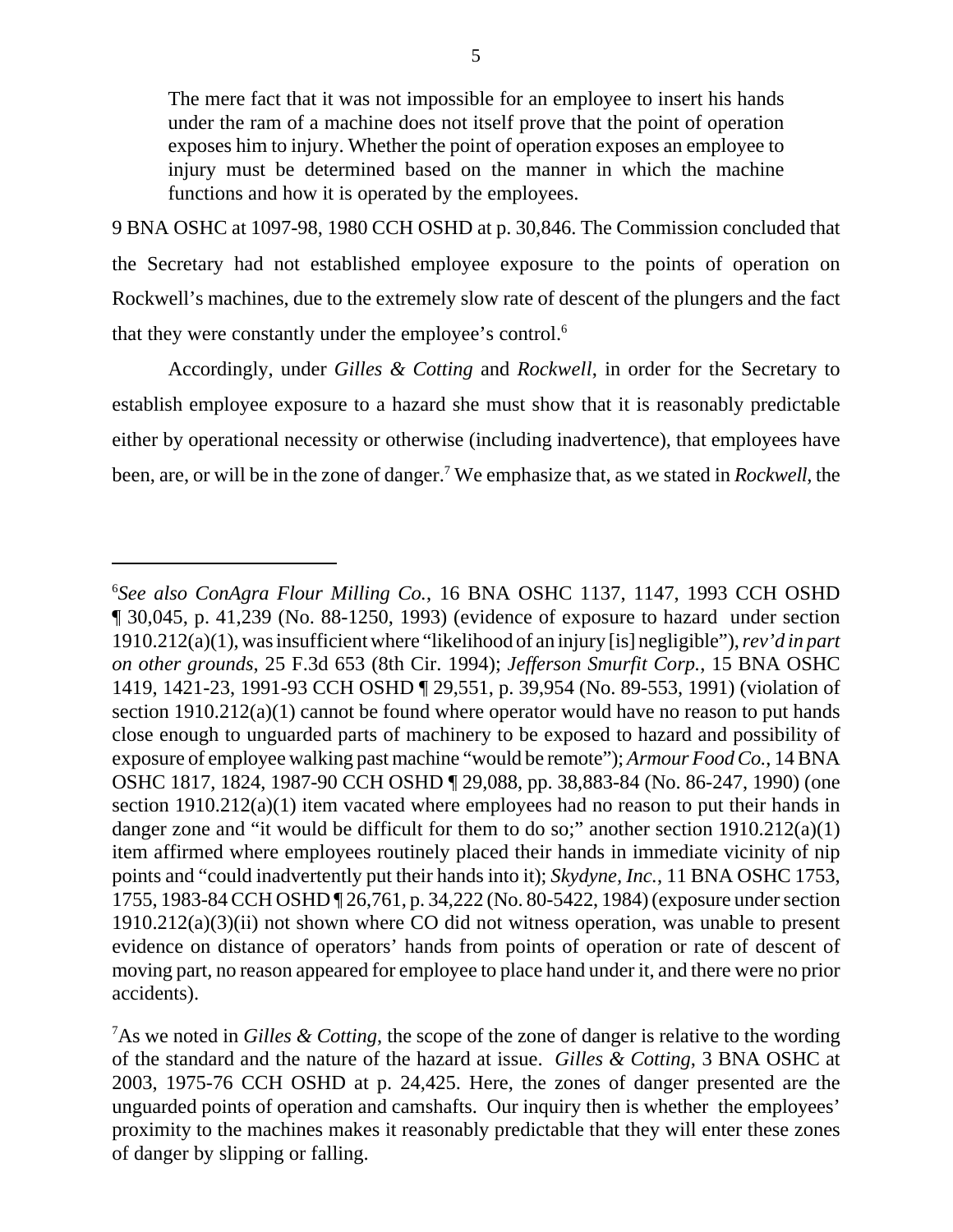The mere fact that it was not impossible for an employee to insert his hands under the ram of a machine does not itself prove that the point of operation exposes him to injury. Whether the point of operation exposes an employee to injury must be determined based on the manner in which the machine functions and how it is operated by the employees.

9 BNA OSHC at 1097-98, 1980 CCH OSHD at p. 30,846. The Commission concluded that the Secretary had not established employee exposure to the points of operation on Rockwell's machines, due to the extremely slow rate of descent of the plungers and the fact that they were constantly under the employee's control.<sup>6</sup>

Accordingly, under *Gilles & Cotting* and *Rockwell*, in order for the Secretary to establish employee exposure to a hazard she must show that it is reasonably predictable either by operational necessity or otherwise (including inadvertence), that employees have been, are, or will be in the zone of danger.<sup>7</sup> We emphasize that, as we stated in *Rockwell,* the

<sup>6</sup> *See also ConAgra Flour Milling Co.*, 16 BNA OSHC 1137, 1147, 1993 CCH OSHD ¶ 30,045, p. 41,239 (No. 88-1250, 1993) (evidence of exposure to hazard under section 1910.212(a)(1), was insufficient where "likelihood of an injury [is] negligible"), *rev'd in part on other grounds*, 25 F.3d 653 (8th Cir. 1994); *Jefferson Smurfit Corp.*, 15 BNA OSHC 1419, 1421-23, 1991-93 CCH OSHD ¶ 29,551, p. 39,954 (No. 89-553, 1991) (violation of section  $1910.212(a)(1)$  cannot be found where operator would have no reason to put hands close enough to unguarded parts of machinery to be exposed to hazard and possibility of exposure of employee walking past machine "would be remote"); *Armour Food Co.*, 14 BNA OSHC 1817, 1824, 1987-90 CCH OSHD ¶ 29,088, pp. 38,883-84 (No. 86-247, 1990) (one section 1910.212(a)(1) item vacated where employees had no reason to put their hands in danger zone and "it would be difficult for them to do so;" another section 1910.212(a)(1) item affirmed where employees routinely placed their hands in immediate vicinity of nip points and "could inadvertently put their hands into it); *Skydyne, Inc.*, 11 BNA OSHC 1753, 1755, 1983-84 CCH OSHD ¶ 26,761, p. 34,222 (No. 80-5422, 1984) (exposure under section  $1910.212(a)(3)(ii)$  not shown where CO did not witness operation, was unable to present evidence on distance of operators' hands from points of operation or rate of descent of moving part, no reason appeared for employee to place hand under it, and there were no prior accidents).

<sup>7</sup>As we noted in *Gilles & Cotting*, the scope of the zone of danger is relative to the wording of the standard and the nature of the hazard at issue. *Gilles & Cotting*, 3 BNA OSHC at 2003, 1975-76 CCH OSHD at p. 24,425. Here, the zones of danger presented are the unguarded points of operation and camshafts. Our inquiry then is whether the employees' proximity to the machines makes it reasonably predictable that they will enter these zones of danger by slipping or falling.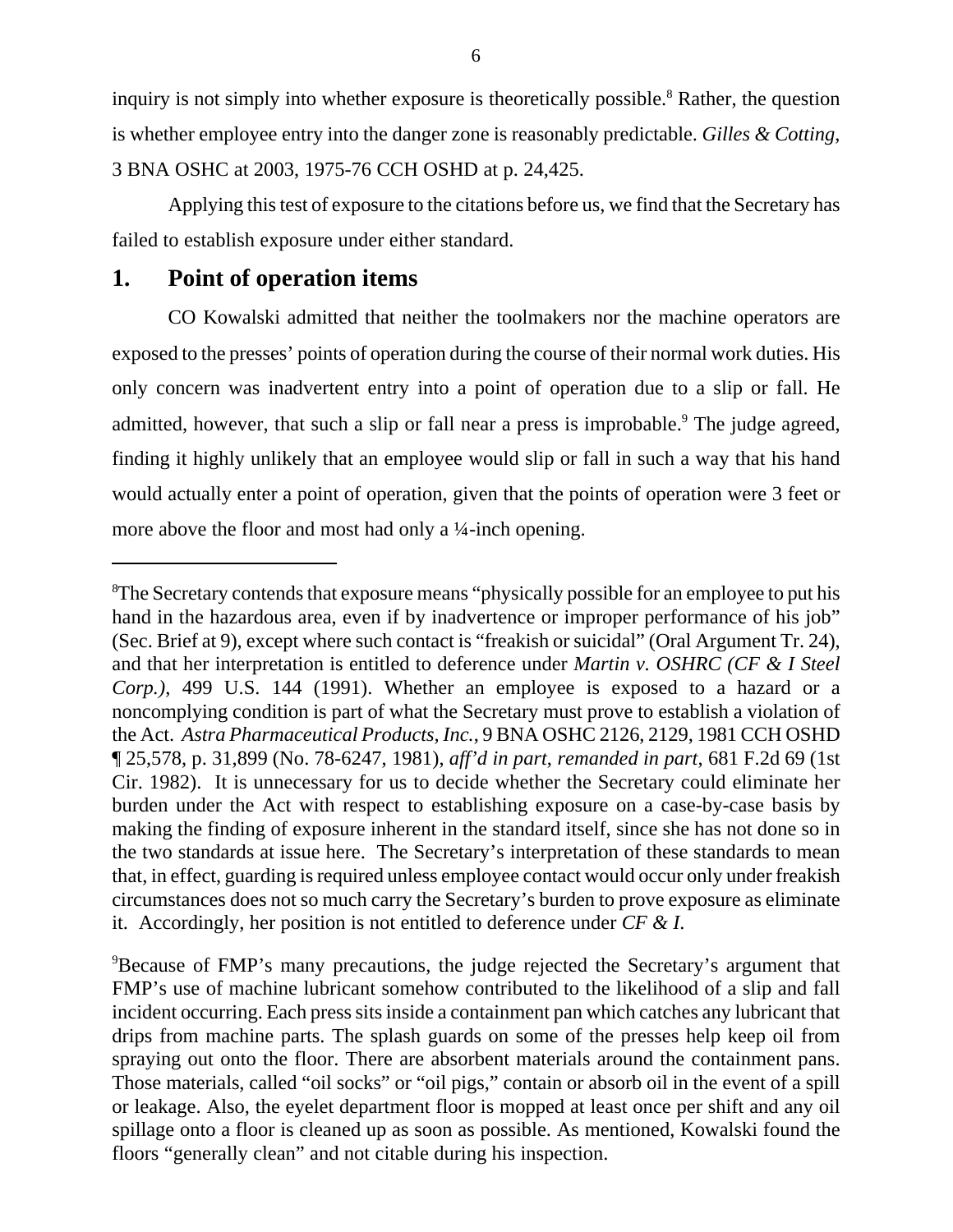inquiry is not simply into whether exposure is theoretically possible.<sup>8</sup> Rather, the question is whether employee entry into the danger zone is reasonably predictable. *Gilles & Cotting*, 3 BNA OSHC at 2003, 1975-76 CCH OSHD at p. 24,425.

Applying this test of exposure to the citations before us, we find that the Secretary has failed to establish exposure under either standard.

# **1. Point of operation items**

CO Kowalski admitted that neither the toolmakers nor the machine operators are exposed to the presses' points of operation during the course of their normal work duties. His only concern was inadvertent entry into a point of operation due to a slip or fall. He admitted, however, that such a slip or fall near a press is improbable.<sup>9</sup> The judge agreed, finding it highly unlikely that an employee would slip or fall in such a way that his hand would actually enter a point of operation, given that the points of operation were 3 feet or more above the floor and most had only a ¼-inch opening.

<sup>&</sup>lt;sup>8</sup>The Secretary contends that exposure means "physically possible for an employee to put his hand in the hazardous area, even if by inadvertence or improper performance of his job" (Sec. Brief at 9), except where such contact is "freakish or suicidal" (Oral Argument Tr. 24), and that her interpretation is entitled to deference under *Martin v. OSHRC (CF & I Steel Corp.)*, 499 U.S. 144 (1991). Whether an employee is exposed to a hazard or a noncomplying condition is part of what the Secretary must prove to establish a violation of the Act. *Astra Pharmaceutical Products, Inc.*, 9 BNA OSHC 2126, 2129, 1981 CCH OSHD ¶ 25,578, p. 31,899 (No. 78-6247, 1981), *aff'd in part*, *remanded in part*, 681 F.2d 69 (1st Cir. 1982). It is unnecessary for us to decide whether the Secretary could eliminate her burden under the Act with respect to establishing exposure on a case-by-case basis by making the finding of exposure inherent in the standard itself, since she has not done so in the two standards at issue here. The Secretary's interpretation of these standards to mean that, in effect, guarding is required unless employee contact would occur only under freakish circumstances does not so much carry the Secretary's burden to prove exposure as eliminate it. Accordingly, her position is not entitled to deference under *CF & I*.

<sup>9</sup>Because of FMP's many precautions, the judge rejected the Secretary's argument that FMP's use of machine lubricant somehow contributed to the likelihood of a slip and fall incident occurring. Each press sits inside a containment pan which catches any lubricant that drips from machine parts. The splash guards on some of the presses help keep oil from spraying out onto the floor. There are absorbent materials around the containment pans. Those materials, called "oil socks" or "oil pigs," contain or absorb oil in the event of a spill or leakage. Also, the eyelet department floor is mopped at least once per shift and any oil spillage onto a floor is cleaned up as soon as possible. As mentioned, Kowalski found the floors "generally clean" and not citable during his inspection.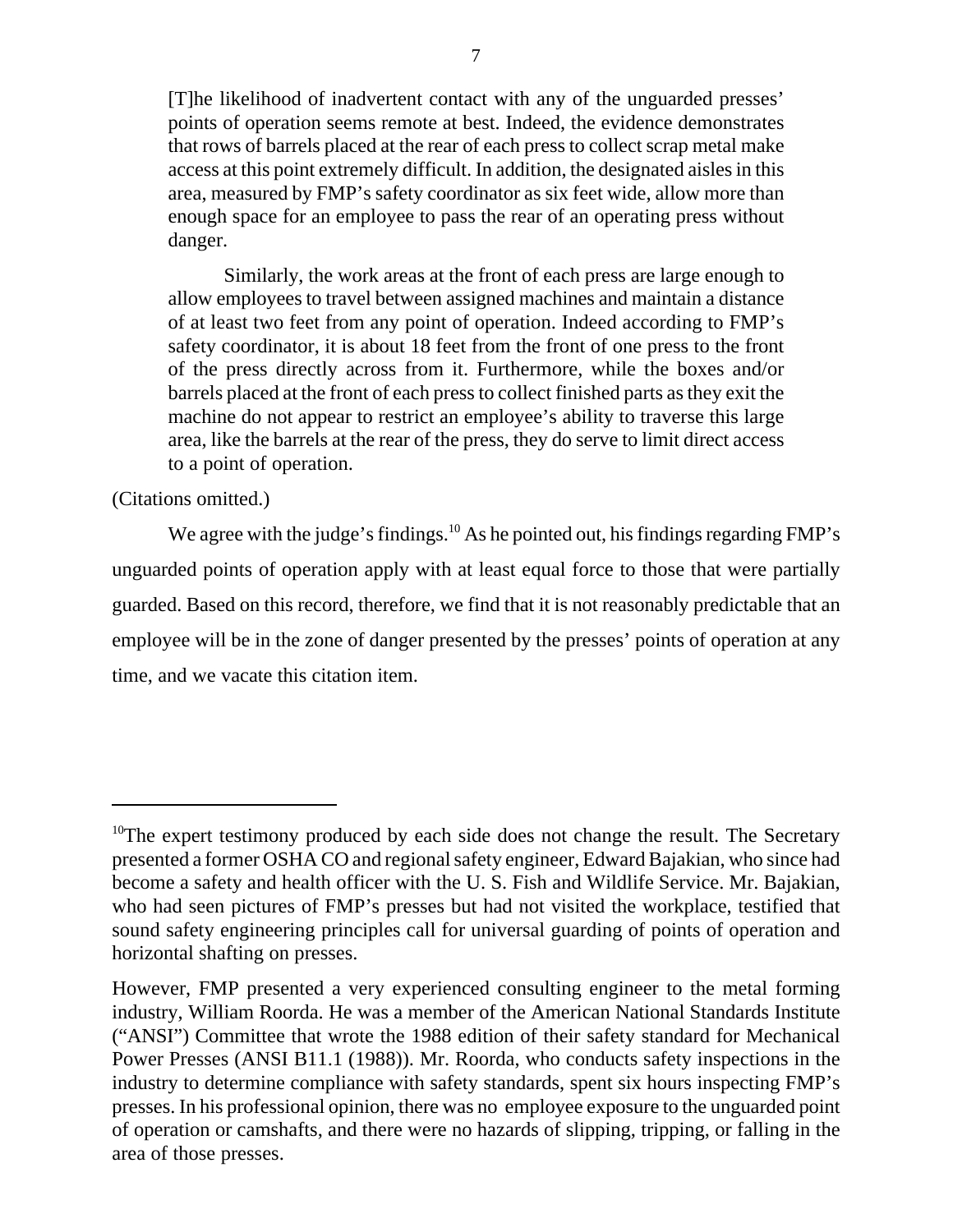[T]he likelihood of inadvertent contact with any of the unguarded presses' points of operation seems remote at best. Indeed, the evidence demonstrates that rows of barrels placed at the rear of each press to collect scrap metal make access at this point extremely difficult. In addition, the designated aisles in this area, measured by FMP's safety coordinator as six feet wide, allow more than enough space for an employee to pass the rear of an operating press without danger.

Similarly, the work areas at the front of each press are large enough to allow employees to travel between assigned machines and maintain a distance of at least two feet from any point of operation. Indeed according to FMP's safety coordinator, it is about 18 feet from the front of one press to the front of the press directly across from it. Furthermore, while the boxes and/or barrels placed at the front of each press to collect finished parts as they exit the machine do not appear to restrict an employee's ability to traverse this large area, like the barrels at the rear of the press, they do serve to limit direct access to a point of operation.

(Citations omitted.)

We agree with the judge's findings.<sup>10</sup> As he pointed out, his findings regarding FMP's unguarded points of operation apply with at least equal force to those that were partially guarded. Based on this record, therefore, we find that it is not reasonably predictable that an employee will be in the zone of danger presented by the presses' points of operation at any time, and we vacate this citation item.

<sup>&</sup>lt;sup>10</sup>The expert testimony produced by each side does not change the result. The Secretary presented a former OSHA CO and regional safety engineer, Edward Bajakian, who since had become a safety and health officer with the U. S. Fish and Wildlife Service. Mr. Bajakian, who had seen pictures of FMP's presses but had not visited the workplace, testified that sound safety engineering principles call for universal guarding of points of operation and horizontal shafting on presses.

However, FMP presented a very experienced consulting engineer to the metal forming industry, William Roorda. He was a member of the American National Standards Institute ("ANSI") Committee that wrote the 1988 edition of their safety standard for Mechanical Power Presses (ANSI B11.1 (1988)). Mr. Roorda, who conducts safety inspections in the industry to determine compliance with safety standards, spent six hours inspecting FMP's presses. In his professional opinion, there was no employee exposure to the unguarded point of operation or camshafts, and there were no hazards of slipping, tripping, or falling in the area of those presses.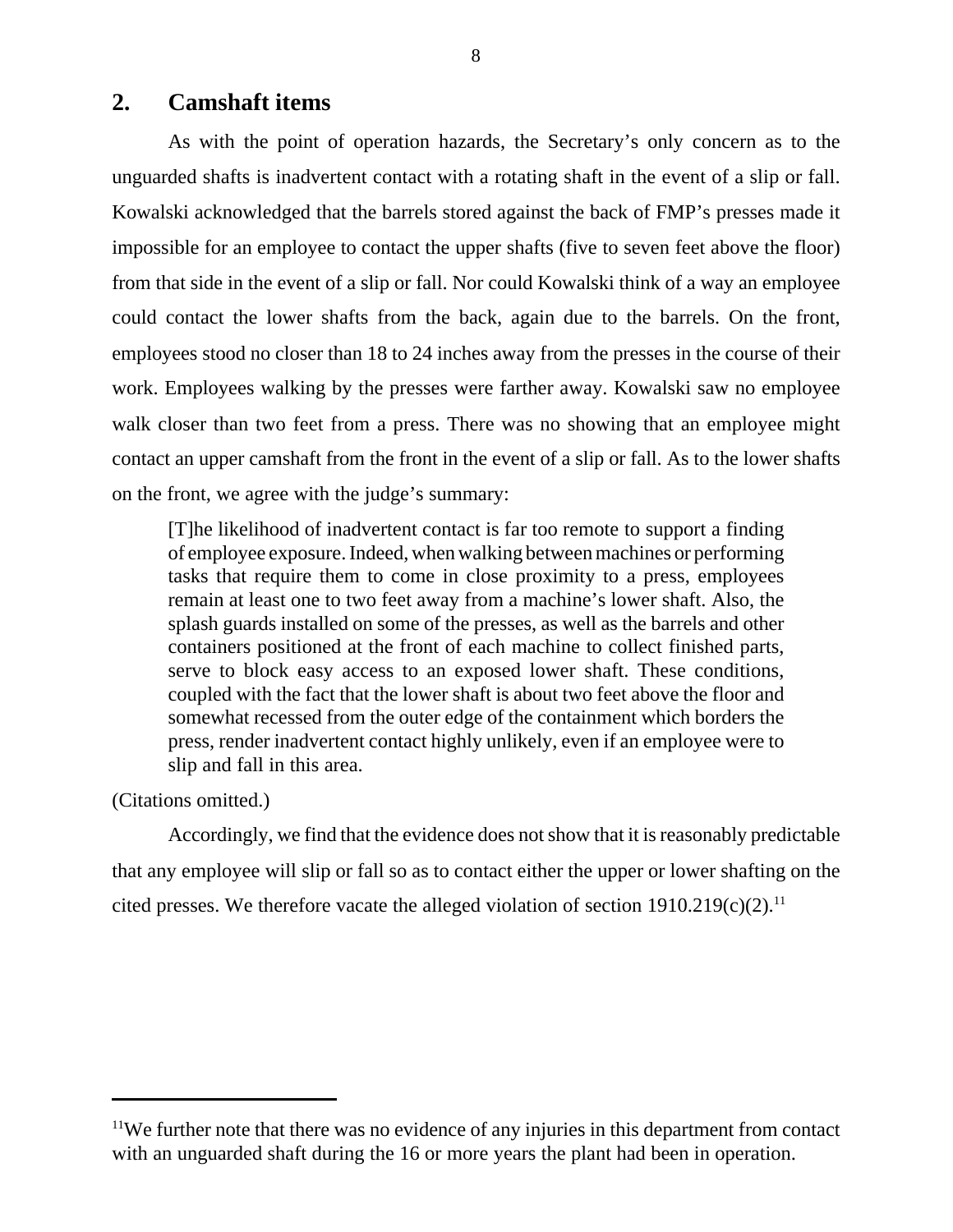# **2. Camshaft items**

As with the point of operation hazards, the Secretary's only concern as to the unguarded shafts is inadvertent contact with a rotating shaft in the event of a slip or fall. Kowalski acknowledged that the barrels stored against the back of FMP's presses made it impossible for an employee to contact the upper shafts (five to seven feet above the floor) from that side in the event of a slip or fall. Nor could Kowalski think of a way an employee could contact the lower shafts from the back, again due to the barrels. On the front, employees stood no closer than 18 to 24 inches away from the presses in the course of their work. Employees walking by the presses were farther away. Kowalski saw no employee walk closer than two feet from a press. There was no showing that an employee might contact an upper camshaft from the front in the event of a slip or fall. As to the lower shafts on the front, we agree with the judge's summary:

[T]he likelihood of inadvertent contact is far too remote to support a finding of employee exposure. Indeed, when walking between machines or performing tasks that require them to come in close proximity to a press, employees remain at least one to two feet away from a machine's lower shaft. Also, the splash guards installed on some of the presses, as well as the barrels and other containers positioned at the front of each machine to collect finished parts, serve to block easy access to an exposed lower shaft. These conditions, coupled with the fact that the lower shaft is about two feet above the floor and somewhat recessed from the outer edge of the containment which borders the press, render inadvertent contact highly unlikely, even if an employee were to slip and fall in this area.

(Citations omitted.)

Accordingly, we find that the evidence does not show that it is reasonably predictable that any employee will slip or fall so as to contact either the upper or lower shafting on the cited presses. We therefore vacate the alleged violation of section  $1910.219(c)(2)$ .<sup>11</sup>

 $11$ We further note that there was no evidence of any injuries in this department from contact with an unguarded shaft during the 16 or more years the plant had been in operation.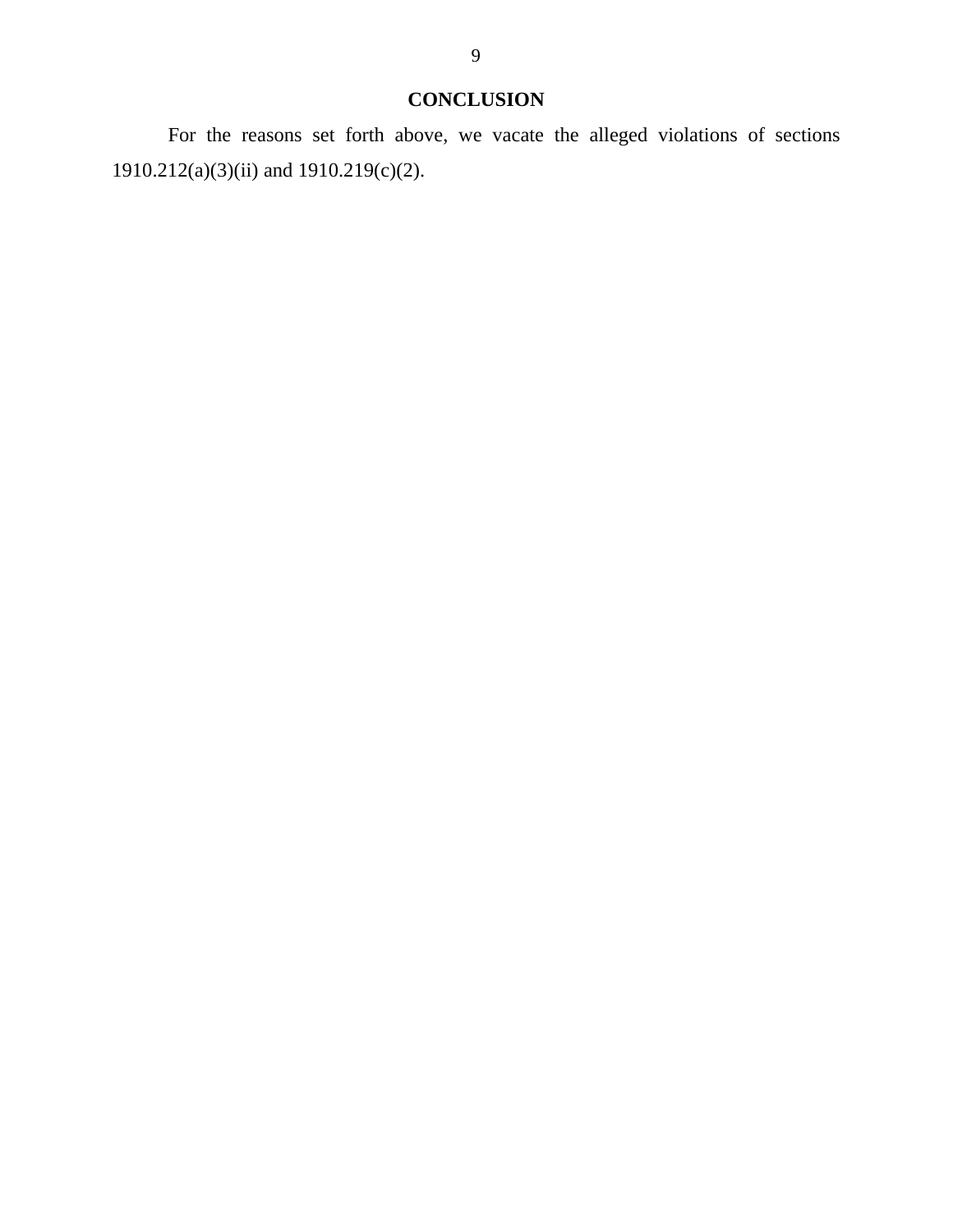# **CONCLUSION**

For the reasons set forth above, we vacate the alleged violations of sections 1910.212(a)(3)(ii) and 1910.219(c)(2).